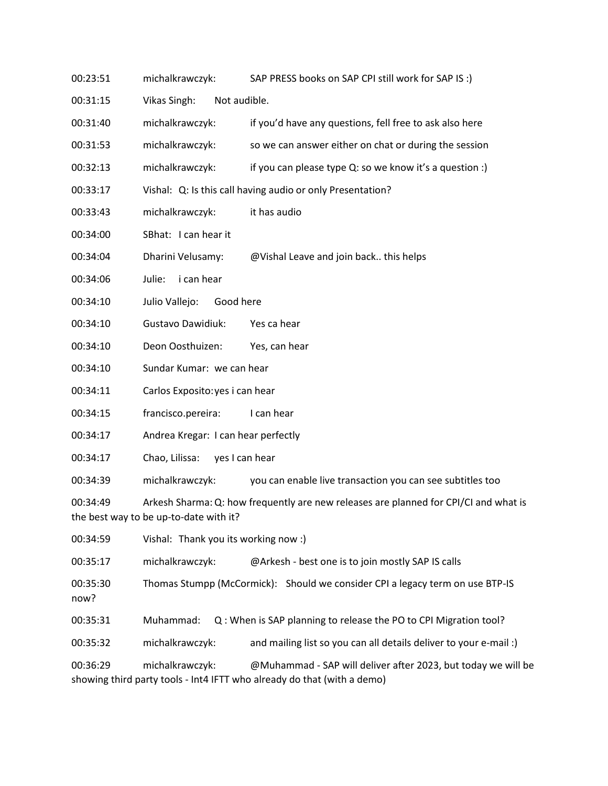- 00:23:51 michalkrawczyk: SAP PRESS books on SAP CPI still work for SAP IS :)
- 00:31:15 Vikas Singh: Not audible.
- 00:31:40 michalkrawczyk: if you'd have any questions, fell free to ask also here
- 00:31:53 michalkrawczyk: so we can answer either on chat or during the session
- 00:32:13 michalkrawczyk: if you can please type Q: so we know it's a question :)
- 00:33:17 Vishal: Q: Is this call having audio or only Presentation?
- 00:33:43 michalkrawczyk: it has audio
- 00:34:00 SBhat: I can hear it
- 00:34:04 Dharini Velusamy: @Vishal Leave and join back.. this helps
- 00:34:06 Julie: i can hear
- 00:34:10 Julio Vallejo: Good here
- 00:34:10 Gustavo Dawidiuk: Yes ca hear
- 00:34:10 Deon Oosthuizen: Yes, can hear
- 00:34:10 Sundar Kumar: we can hear
- 00:34:11 Carlos Exposito:yes i can hear
- 00:34:15 francisco.pereira: I can hear
- 00:34:17 Andrea Kregar: I can hear perfectly
- 00:34:17 Chao, Lilissa: yes I can hear

00:34:39 michalkrawczyk: you can enable live transaction you can see subtitles too

00:34:49 Arkesh Sharma:Q: how frequently are new releases are planned for CPI/CI and what is the best way to be up-to-date with it?

00:34:59 Vishal: Thank you its working now :)

00:35:17 michalkrawczyk: @Arkesh - best one is to join mostly SAP IS calls

00:35:30 Thomas Stumpp (McCormick): Should we consider CPI a legacy term on use BTP-IS

now?

00:35:31 Muhammad: Q : When is SAP planning to release the PO to CPI Migration tool?

00:35:32 michalkrawczyk: and mailing list so you can all details deliver to your e-mail :)

00:36:29 michalkrawczyk: @Muhammad - SAP will deliver after 2023, but today we will be showing third party tools - Int4 IFTT who already do that (with a demo)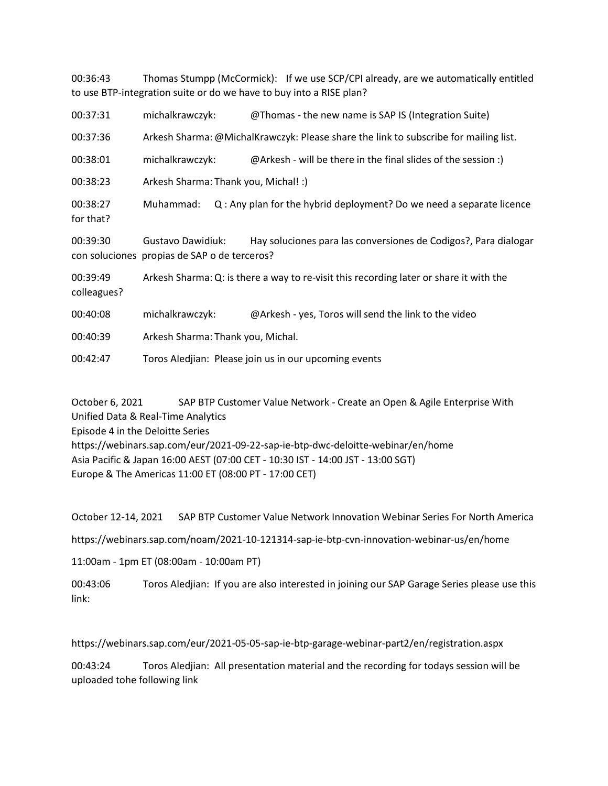00:36:43 Thomas Stumpp (McCormick): If we use SCP/CPI already, are we automatically entitled to use BTP-integration suite or do we have to buy into a RISE plan?

| 00:37:31                | michalkrawczyk:                                                                        | @Thomas - the new name is SAP IS (Integration Suite)                 |
|-------------------------|----------------------------------------------------------------------------------------|----------------------------------------------------------------------|
| 00:37:36                | Arkesh Sharma: @MichalKrawczyk: Please share the link to subscribe for mailing list.   |                                                                      |
| 00:38:01                | michalkrawczyk:                                                                        | @Arkesh - will be there in the final slides of the session :)        |
| 00:38:23                | Arkesh Sharma: Thank you, Michal! :)                                                   |                                                                      |
| 00:38:27<br>for that?   | Muhammad:                                                                              | Q: Any plan for the hybrid deployment? Do we need a separate licence |
| 00:39:30                | <b>Gustavo Dawidiuk:</b><br>con soluciones propias de SAP o de terceros?               | Hay soluciones para las conversiones de Codigos?, Para dialogar      |
| 00:39:49<br>colleagues? | Arkesh Sharma: Q: is there a way to re-visit this recording later or share it with the |                                                                      |
| 00:40:08                | michalkrawczyk:                                                                        | @Arkesh - yes, Toros will send the link to the video                 |
| 00:40:39                | Arkesh Sharma: Thank you, Michal.                                                      |                                                                      |
| 00:42:47                | Toros Aledjian: Please join us in our upcoming events                                  |                                                                      |

October 6, 2021 SAP BTP Customer Value Network - Create an Open & Agile Enterprise With Unified Data & Real-Time Analytics Episode 4 in the Deloitte Series https://webinars.sap.com/eur/2021-09-22-sap-ie-btp-dwc-deloitte-webinar/en/home Asia Pacific & Japan 16:00 AEST (07:00 CET - 10:30 IST - 14:00 JST - 13:00 SGT) Europe & The Americas 11:00 ET (08:00 PT - 17:00 CET)

October 12-14, 2021 SAP BTP Customer Value Network Innovation Webinar Series For North America

https://webinars.sap.com/noam/2021-10-121314-sap-ie-btp-cvn-innovation-webinar-us/en/home

11:00am - 1pm ET (08:00am - 10:00am PT)

00:43:06 Toros Aledjian: If you are also interested in joining our SAP Garage Series please use this link:

https://webinars.sap.com/eur/2021-05-05-sap-ie-btp-garage-webinar-part2/en/registration.aspx

00:43:24 Toros Aledjian: All presentation material and the recording for todays session will be uploaded tohe following link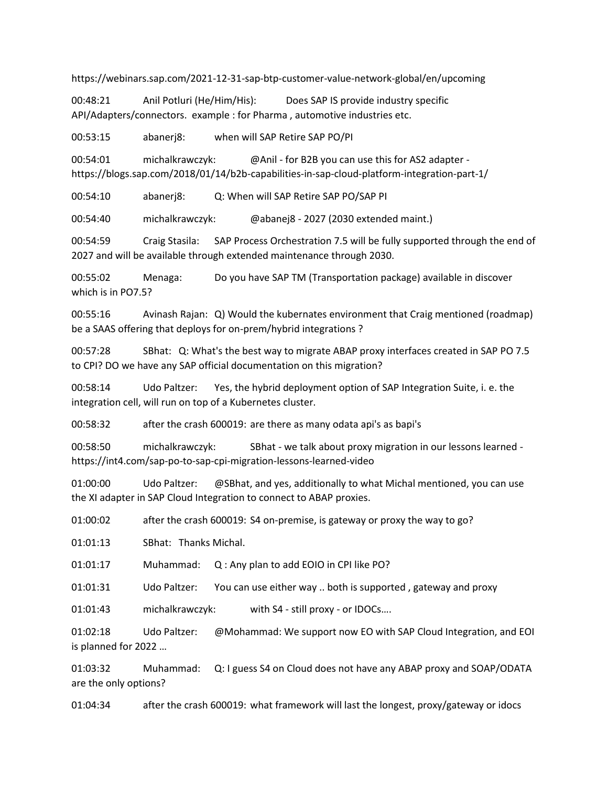https://webinars.sap.com/2021-12-31-sap-btp-customer-value-network-global/en/upcoming

00:48:21 Anil Potluri (He/Him/His): Does SAP IS provide industry specific API/Adapters/connectors. example : for Pharma , automotive industries etc.

00:53:15 abanerj8: when will SAP Retire SAP PO/PI

00:54:01 michalkrawczyk: @Anil - for B2B you can use this for AS2 adapter https://blogs.sap.com/2018/01/14/b2b-capabilities-in-sap-cloud-platform-integration-part-1/

00:54:10 abanerj8: Q: When will SAP Retire SAP PO/SAP PI

00:54:40 michalkrawczyk: @abanej8 - 2027 (2030 extended maint.)

00:54:59 Craig Stasila: SAP Process Orchestration 7.5 will be fully supported through the end of 2027 and will be available through extended maintenance through 2030.

00:55:02 Menaga: Do you have SAP TM (Transportation package) available in discover which is in PO7.5?

00:55:16 Avinash Rajan: Q) Would the kubernates environment that Craig mentioned (roadmap) be a SAAS offering that deploys for on-prem/hybrid integrations ?

00:57:28 SBhat: Q: What's the best way to migrate ABAP proxy interfaces created in SAP PO 7.5 to CPI? DO we have any SAP official documentation on this migration?

00:58:14 Udo Paltzer: Yes, the hybrid deployment option of SAP Integration Suite, i. e. the integration cell, will run on top of a Kubernetes cluster.

00:58:32 after the crash 600019: are there as many odata api's as bapi's

00:58:50 michalkrawczyk: SBhat - we talk about proxy migration in our lessons learned https://int4.com/sap-po-to-sap-cpi-migration-lessons-learned-video

01:00:00 Udo Paltzer: @SBhat, and yes, additionally to what Michal mentioned, you can use the XI adapter in SAP Cloud Integration to connect to ABAP proxies.

01:00:02 after the crash 600019: S4 on-premise, is gateway or proxy the way to go?

01:01:13 SBhat: Thanks Michal.

01:01:17 Muhammad: Q : Any plan to add EOIO in CPI like PO?

01:01:31 Udo Paltzer: You can use either way .. both is supported , gateway and proxy

01:01:43 michalkrawczyk: with S4 - still proxy - or IDOCs….

01:02:18 Udo Paltzer: @Mohammad: We support now EO with SAP Cloud Integration, and EOI is planned for 2022 …

01:03:32 Muhammad: Q: I guess S4 on Cloud does not have any ABAP proxy and SOAP/ODATA are the only options?

01:04:34 after the crash 600019: what framework will last the longest, proxy/gateway or idocs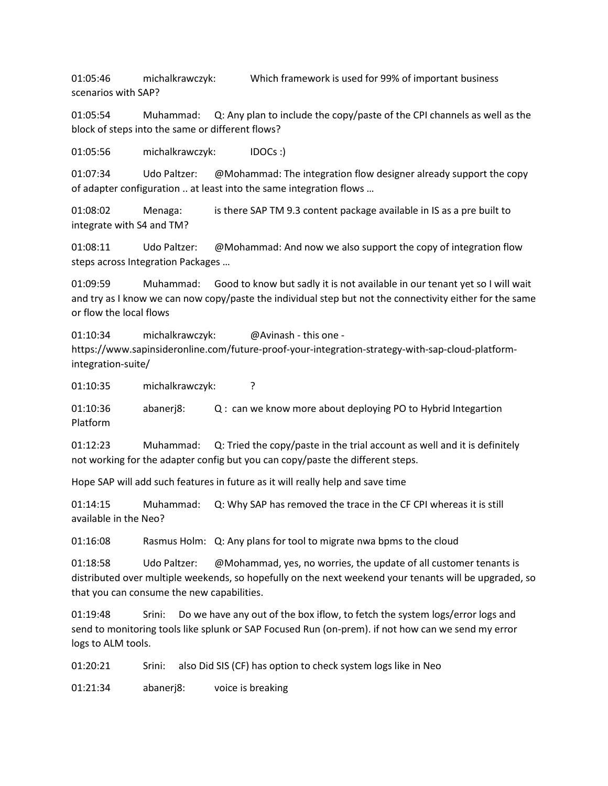01:05:46 michalkrawczyk: Which framework is used for 99% of important business scenarios with SAP?

01:05:54 Muhammad: Q: Any plan to include the copy/paste of the CPI channels as well as the block of steps into the same or different flows?

01:05:56 michalkrawczyk: IDOCs :)

01:07:34 Udo Paltzer: @Mohammad: The integration flow designer already support the copy of adapter configuration .. at least into the same integration flows …

01:08:02 Menaga: is there SAP TM 9.3 content package available in IS as a pre built to integrate with S4 and TM?

01:08:11 Udo Paltzer: @Mohammad: And now we also support the copy of integration flow steps across Integration Packages …

01:09:59 Muhammad: Good to know but sadly it is not available in our tenant yet so I will wait and try as I know we can now copy/paste the individual step but not the connectivity either for the same or flow the local flows

01:10:34 michalkrawczyk: @Avinash - this one https://www.sapinsideronline.com/future-proof-your-integration-strategy-with-sap-cloud-platformintegration-suite/

01:10:35 michalkrawczyk: ?

01:10:36 abanerj8: Q : can we know more about deploying PO to Hybrid Integartion Platform

01:12:23 Muhammad: Q: Tried the copy/paste in the trial account as well and it is definitely not working for the adapter config but you can copy/paste the different steps.

Hope SAP will add such features in future as it will really help and save time

01:14:15 Muhammad: Q: Why SAP has removed the trace in the CF CPI whereas it is still available in the Neo?

01:16:08 Rasmus Holm: Q: Any plans for tool to migrate nwa bpms to the cloud

01:18:58 Udo Paltzer: @Mohammad, yes, no worries, the update of all customer tenants is distributed over multiple weekends, so hopefully on the next weekend your tenants will be upgraded, so that you can consume the new capabilities.

01:19:48 Srini: Do we have any out of the box iflow, to fetch the system logs/error logs and send to monitoring tools like splunk or SAP Focused Run (on-prem). if not how can we send my error logs to ALM tools.

01:20:21 Srini: also Did SIS (CF) has option to check system logs like in Neo

01:21:34 abanerj8: voice is breaking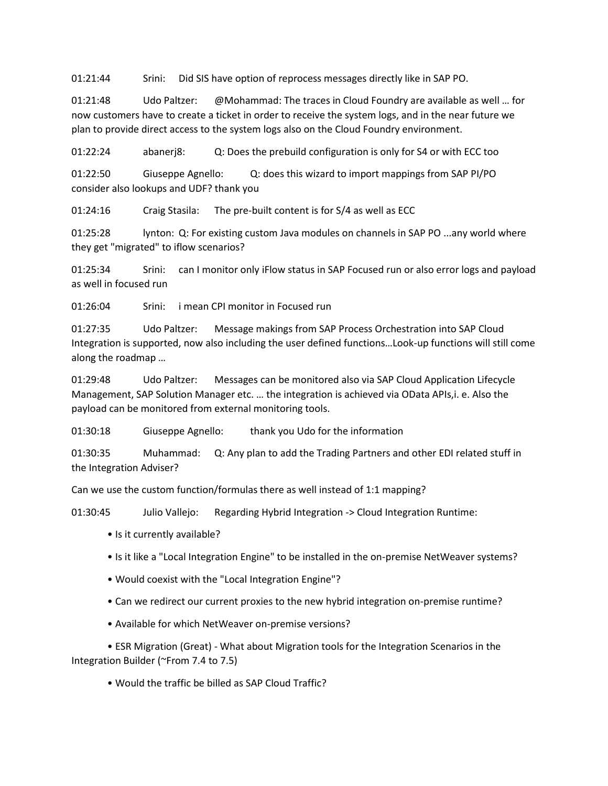01:21:44 Srini: Did SIS have option of reprocess messages directly like in SAP PO.

01:21:48 Udo Paltzer: @Mohammad: The traces in Cloud Foundry are available as well … for now customers have to create a ticket in order to receive the system logs, and in the near future we plan to provide direct access to the system logs also on the Cloud Foundry environment.

01:22:24 abanerj8: Q: Does the prebuild configuration is only for S4 or with ECC too

01:22:50 Giuseppe Agnello: Q: does this wizard to import mappings from SAP PI/PO consider also lookups and UDF? thank you

01:24:16 Craig Stasila: The pre-built content is for S/4 as well as ECC

01:25:28 lynton: Q: For existing custom Java modules on channels in SAP PO ...any world where they get "migrated" to iflow scenarios?

01:25:34 Srini: can I monitor only iFlow status in SAP Focused run or also error logs and payload as well in focused run

01:26:04 Srini: i mean CPI monitor in Focused run

01:27:35 Udo Paltzer: Message makings from SAP Process Orchestration into SAP Cloud Integration is supported, now also including the user defined functions…Look-up functions will still come along the roadmap …

01:29:48 Udo Paltzer: Messages can be monitored also via SAP Cloud Application Lifecycle Management, SAP Solution Manager etc. … the integration is achieved via OData APIs,i. e. Also the payload can be monitored from external monitoring tools.

01:30:18 Giuseppe Agnello: thank you Udo for the information

01:30:35 Muhammad: Q: Any plan to add the Trading Partners and other EDI related stuff in the Integration Adviser?

Can we use the custom function/formulas there as well instead of 1:1 mapping?

01:30:45 Julio Vallejo: Regarding Hybrid Integration -> Cloud Integration Runtime:

- Is it currently available?
- Is it like a "Local Integration Engine" to be installed in the on-premise NetWeaver systems?
- Would coexist with the "Local Integration Engine"?
- Can we redirect our current proxies to the new hybrid integration on-premise runtime?

• Available for which NetWeaver on-premise versions?

• ESR Migration (Great) - What about Migration tools for the Integration Scenarios in the Integration Builder (~From 7.4 to 7.5)

• Would the traffic be billed as SAP Cloud Traffic?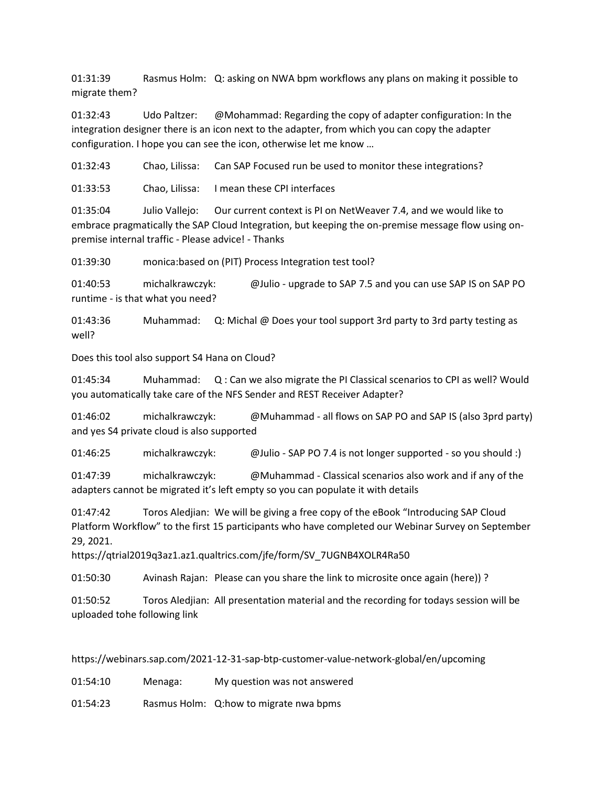01:31:39 Rasmus Holm: Q: asking on NWA bpm workflows any plans on making it possible to migrate them?

01:32:43 Udo Paltzer: @Mohammad: Regarding the copy of adapter configuration: In the integration designer there is an icon next to the adapter, from which you can copy the adapter configuration. I hope you can see the icon, otherwise let me know …

01:32:43 Chao, Lilissa: Can SAP Focused run be used to monitor these integrations?

01:33:53 Chao, Lilissa: I mean these CPI interfaces

01:35:04 Julio Vallejo: Our current context is PI on NetWeaver 7.4, and we would like to embrace pragmatically the SAP Cloud Integration, but keeping the on-premise message flow using onpremise internal traffic - Please advice! - Thanks

01:39:30 monica:based on (PIT) Process Integration test tool?

01:40:53 michalkrawczyk: @Julio - upgrade to SAP 7.5 and you can use SAP IS on SAP PO runtime - is that what you need?

01:43:36 Muhammad: Q: Michal @ Does your tool support 3rd party to 3rd party testing as well?

Does this tool also support S4 Hana on Cloud?

01:45:34 Muhammad: Q : Can we also migrate the PI Classical scenarios to CPI as well? Would you automatically take care of the NFS Sender and REST Receiver Adapter?

01:46:02 michalkrawczyk: @Muhammad - all flows on SAP PO and SAP IS (also 3prd party) and yes S4 private cloud is also supported

01:46:25 michalkrawczyk: @Julio - SAP PO 7.4 is not longer supported - so you should :)

01:47:39 michalkrawczyk: @Muhammad - Classical scenarios also work and if any of the adapters cannot be migrated it's left empty so you can populate it with details

01:47:42 Toros Aledjian: We will be giving a free copy of the eBook "Introducing SAP Cloud Platform Workflow" to the first 15 participants who have completed our Webinar Survey on September 29, 2021.

https://qtrial2019q3az1.az1.qualtrics.com/jfe/form/SV\_7UGNB4XOLR4Ra50

01:50:30 Avinash Rajan: Please can you share the link to microsite once again (here)) ?

01:50:52 Toros Aledjian: All presentation material and the recording for todays session will be uploaded tohe following link

https://webinars.sap.com/2021-12-31-sap-btp-customer-value-network-global/en/upcoming

01:54:10 Menaga: My question was not answered

01:54:23 Rasmus Holm: Q:how to migrate nwa bpms